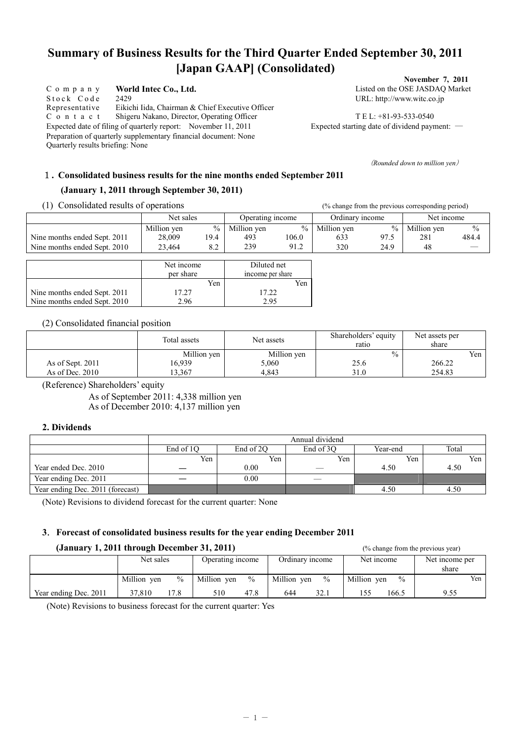# **Summary of Business Results for the Third Quarter Ended September 30, 2011 [Japan GAAP] (Consolidated)**

C o m p a n y **World Intec Co., Ltd.** Listed on the OSE JASDAQ Market Stock Code 2429 URL: http://www.witc.co.jp Representative Eikichi Iida, Chairman & Chief Executive Officer C o n t a c t Shigeru Nakano, Director, Operating Officer T E L: +81-93-533-0540 Expected date of filing of quarterly report: November 11, 2011 Expected starting date of dividend payment: ― Preparation of quarterly supplementary financial document: None Quarterly results briefing: None

**November 7, 2011** 

(*Rounded down to million yen*)

## 1**. Consolidated business results for the nine months ended September 2011**

### **(January 1, 2011 through September 30, 2011)**

(1) Consolidated results of operations (% change from the previous corresponding period)

|                              | Net sales               |               | Operating income                |       | Ordinary income |               | Net income  |               |
|------------------------------|-------------------------|---------------|---------------------------------|-------|-----------------|---------------|-------------|---------------|
|                              | Million yen             | $\frac{0}{0}$ | Million yen                     | $\%$  | Million yen     | $\frac{0}{0}$ | Million yen | $\frac{0}{0}$ |
| Nine months ended Sept. 2011 | 28,009                  | 19.4          | 493                             | 106.0 | 633             | 97.5          | 281         | 484.4         |
| Nine months ended Sept. 2010 | 23,464                  | 8.2           | 239                             | 91.2  | 320             | 24.9          | 48          |               |
|                              |                         |               |                                 |       |                 |               |             |               |
|                              | Net income<br>per share |               | Diluted net<br>income per share |       |                 |               |             |               |
|                              |                         |               |                                 |       |                 |               |             |               |
|                              |                         | Yen           |                                 | Yen   |                 |               |             |               |
| Nine months ended Sept. 2011 | 17.27                   |               | 17.22                           |       |                 |               |             |               |
| Nine months ended Sept. 2010 | 2.96                    |               | 2.95                            |       |                 |               |             |               |

(2) Consolidated financial position

|                   | Total assets | Net assets  | Shareholders' equity<br>ratio | Net assets per<br>share |     |
|-------------------|--------------|-------------|-------------------------------|-------------------------|-----|
|                   | Million yen  | Million yen | $\%$                          |                         | Yen |
| As of Sept. 2011  | 16,939       | 5,060       | 25.6                          | 266.22                  |     |
| As of Dec. $2010$ | 13.367       | 4.843       | 31.0                          | 254.83                  |     |

(Reference) Shareholders' equity

As of September 2011: 4,338 million yen As of December 2010: 4,137 million yen

#### **2. Dividends**

|                                  | Annual dividend |           |           |          |       |  |  |  |  |  |
|----------------------------------|-----------------|-----------|-----------|----------|-------|--|--|--|--|--|
|                                  | End of 1O       | End of 2O | End of 3O | Year-end | Total |  |  |  |  |  |
|                                  | Yen             | Yen       | Yen       | Yen      | Yen   |  |  |  |  |  |
| Year ended Dec. 2010             |                 | 0.00      |           | 4.50     | 4.50  |  |  |  |  |  |
| Year ending Dec. 2011            |                 | 0.00      |           |          |       |  |  |  |  |  |
| Year ending Dec. 2011 (forecast) |                 |           |           | 4.50     | 4.50  |  |  |  |  |  |

(Note) Revisions to dividend forecast for the current quarter: None

## **3**.**Forecast of consolidated business results for the year ending December 2011**

#### **(January 1, 2011 through December 31, 2011)** (% change from the previous year)

| $\frac{1}{2}$         |             |               |                  |               |                 |               |             |               | $\frac{1}{2}$ of $\frac{1}{2}$ and $\frac{1}{2}$ and $\frac{1}{2}$ and $\frac{1}{2}$ and $\frac{1}{2}$ |     |
|-----------------------|-------------|---------------|------------------|---------------|-----------------|---------------|-------------|---------------|--------------------------------------------------------------------------------------------------------|-----|
|                       | Net sales   |               | Operating income |               | Ordinary income |               | Net income  |               | Net income per<br>share                                                                                |     |
|                       | Million yen | $\frac{0}{0}$ | Million ven      | $\frac{0}{0}$ | Million yen     | $\frac{0}{0}$ | Million yen | $\frac{0}{0}$ |                                                                                                        | Yen |
| Year ending Dec. 2011 | 37.810      | 17.8          | 510              | 47.8          | 644             | 32.1          |             | 166.5         | 9.55                                                                                                   |     |

(Note) Revisions to business forecast for the current quarter: Yes